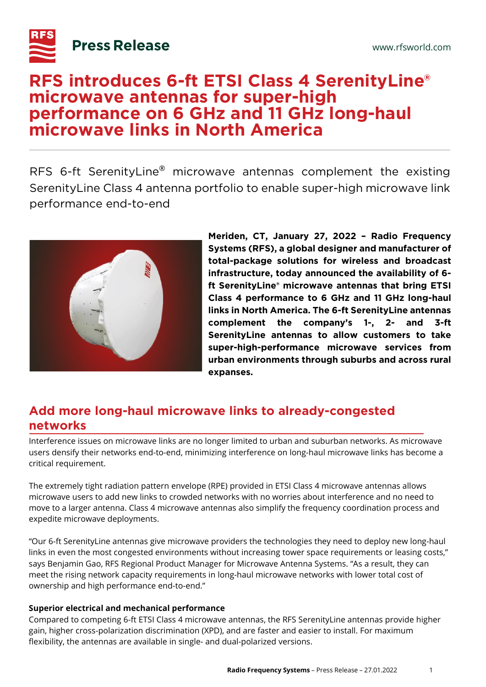

# **RFS introduces 6-ft ETSI Class 4 SerenityLine® microwave antennas for super-high performance on 6 GHz and 11 GHz long-haul microwave links in North America**

RFS 6-ft SerenityLine® microwave antennas complement the existing SerenityLine Class 4 antenna portfolio to enable super-high microwave link performance end-to-end



**Meriden, CT, January 27, 2022 – Radio Frequency Systems (RFS), a global designer and manufacturer of total-package solutions for wireless and broadcast infrastructure, today announced the availability of 6 ft SerenityLine® microwave antennas that bring ETSI Class 4 performance to 6 GHz and 11 GHz long-haul links in North America. The 6-ft SerenityLine antennas complement the company's 1-, 2- and 3-ft SerenityLine antennas to allow customers to take super-high-performance microwave services from urban environments through suburbs and across rural expanses.** 

## **Add more long-haul microwave links to already-congested networks**

Interference issues on microwave links are no longer limited to urban and suburban networks. As microwave users densify their networks end-to-end, minimizing interference on long-haul microwave links has become a critical requirement.

The extremely tight radiation pattern envelope (RPE) provided in ETSI Class 4 microwave antennas allows microwave users to add new links to crowded networks with no worries about interference and no need to move to a larger antenna. Class 4 microwave antennas also simplify the frequency coordination process and expedite microwave deployments.

"Our 6-ft SerenityLine antennas give microwave providers the technologies they need to deploy new long-haul links in even the most congested environments without increasing tower space requirements or leasing costs," says Benjamin Gao, RFS Regional Product Manager for Microwave Antenna Systems. "As a result, they can meet the rising network capacity requirements in long-haul microwave networks with lower total cost of ownership and high performance end-to-end."

### **Superior electrical and mechanical performance**

Compared to competing 6-ft ETSI Class 4 microwave antennas, the RFS SerenityLine antennas provide higher gain, higher cross-polarization discrimination (XPD), and are faster and easier to install. For maximum flexibility, the antennas are available in single- and dual-polarized versions.